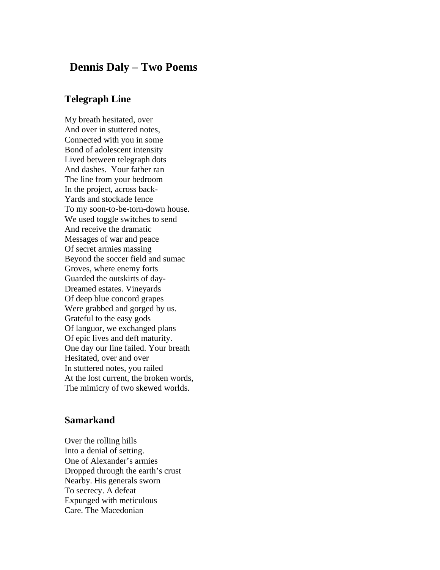## **Dennis Daly – Two Poems**

## **Telegraph Line**

My breath hesitated, over And over in stuttered notes, Connected with you in some Bond of adolescent intensity Lived between telegraph dots And dashes. Your father ran The line from your bedroom In the project, across back-Yards and stockade fence To my soon-to-be-torn-down house. We used toggle switches to send And receive the dramatic Messages of war and peace Of secret armies massing Beyond the soccer field and sumac Groves, where enemy forts Guarded the outskirts of day-Dreamed estates. Vineyards Of deep blue concord grapes Were grabbed and gorged by us. Grateful to the easy gods Of languor, we exchanged plans Of epic lives and deft maturity. One day our line failed. Your breath Hesitated, over and over In stuttered notes, you railed At the lost current, the broken words, The mimicry of two skewed worlds.

## **Samarkand**

Over the rolling hills Into a denial of setting. One of Alexander's armies Dropped through the earth's crust Nearby. His generals sworn To secrecy. A defeat Expunged with meticulous Care. The Macedonian